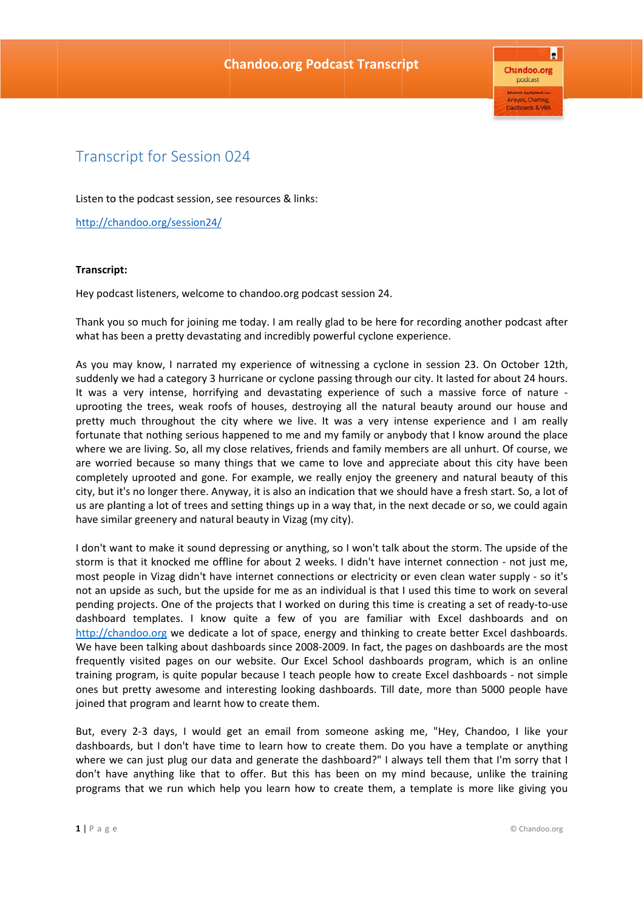$\vert_{\mathbf{R}}$ **Chandoo.org** podcast Anaysis, Charting **Dashboards & VBA** 

## Transcript for Session 024

Listen to the podcast session, see resources & links:

http://chandoo.org/session24/

## **Transcript:**

Hey podcast listeners, welcome to chandoo.org podcast session 24.

Thank you so much for joining me today. I am really glad to be here for recording another podcast after what has been a pretty devastating and incredibly powerful cyclone experience.

As you may know, I narrated my experience of witnessing a cyclone in session 23. On October 12th, suddenly we had a category 3 hurricane or cyclone passing through our city. It lasted for about 24 hours. It was a very intense, horrifying and devastating experience of such a massive force of nature uprooting the trees, weak roofs of houses, destroying all the natural beauty around our house and pretty much throughout the city where we live. It was a very intense experience and I am really fortunate that nothing serious happened to me and my family or anybody that I know around the place where we are living. So, all my close relatives, friends and family members are all unhurt. Of course, we are worried because so many things that we came to love and appreciate about this city have been completely uprooted and gone. For example, we really enjoy the greenery and natural beauty of this city, but it's no longer there. Anyway, it is also an indication that we should have a fresh start. So, a lot of us are planting a lot of trees and setting things up in a way that, in the next decade or so, we could again have similar greenery and natural beauty in Vizag (my city).

I don't want to make it sound depressing or anything, so I won't talk about the storm. The upside of the storm is that it knocked me offline for about 2 weeks. I didn't have internet connection - not just me, most people in Vizag didn't have internet connections or electricity or even clean water supply - so it's not an upside as such, but the upside for me as an individual is that I used this time to work on several pending projects. One of the projects that I worked on during this time is creating a set of ready-to-use dashboard templates. I know quite a few of you are familiar with Excel dashboards and on http://chandoo.org we dedicate a lot of space, energy and thinking to create better Excel dashboards. We have been talking about dashboards since 2008-2009. In fact, the pages on dashboards are the most frequently visited pages on our website. Our Excel School dashboards program, which is an online training program, is quite popular because I teach people how to create Excel dashboards - not simple ones but pretty awesome and interesting looking dashboards. Till date, more than 5000 people have joined that program and learnt how to create them.

But, every 2-3 days, I would get an email from someone asking me, "Hey, Chandoo, I like your dashboards, but I don't have time to learn how to create them. Do you have a template or anything where we can just plug our data and generate the dashboard?" I always tell them that I'm sorry that I don't have anything like that to offer. But this has been on my mind because, unlike the training programs that we run which help you learn how to create them, a template is more like giving you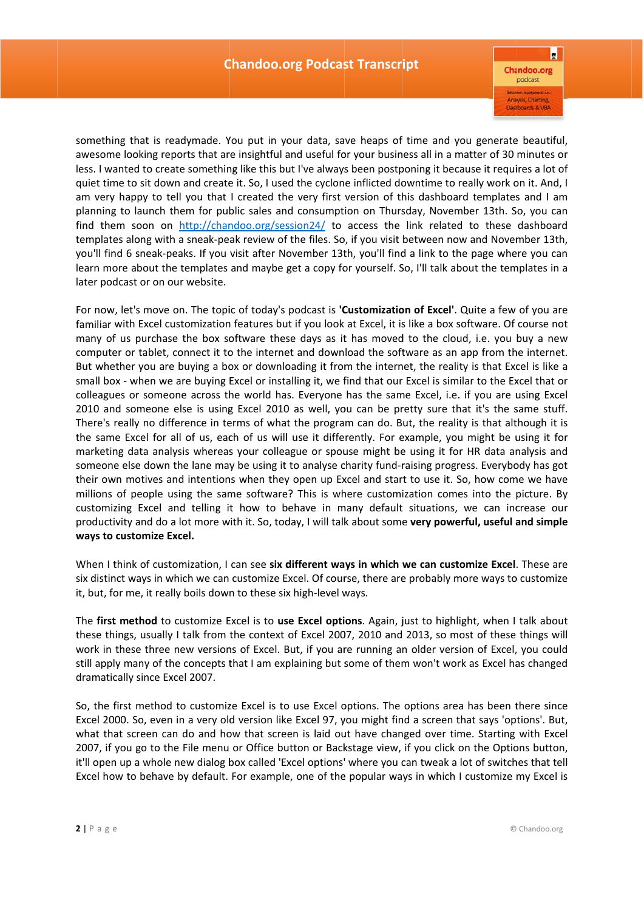$\blacksquare$ **Chandoo.org** podcast Anaysis, Charting **Dashboards & VBA** 

something that is readymade. You put in your data, save heaps of time and you generate beautiful, awesome looking reports that are insightful and useful for your business all in a matter of 30 minutes or less. I wanted to create something like this but I've always been postponing it because it requires a lot of quiet time to sit down and create it. So, I used the cyclone inflicted downtime to really work on it. And, I am very happy to tell you that I created the very first version of this dashboard templates and I am planning to launch them for public sales and consumption on Thursday, November 13th. So, you can find them soon on http://chandoo.org/session24/ to access the link related to these dashboard templates along with a sneak-peak review of the files. So, if you visit between now and November 13th, you'll find 6 sneak-peaks. If you visit after November 13th, you'll find a link to the page where you can learn more about the templates and maybe get a copy for yourself. So, I'll talk about the templates in a later podcast or on our website.

For now, let's move on. The topic of today's podcast is 'Customization of Excel'. Quite a few of you are familiar with Excel customization features but if you look at Excel, it is like a box software. Of course not many of us purchase the box software these days as it has moved to the cloud, i.e. you buy a new computer or tablet, connect it to the internet and download the software as an app from the internet. But whether you are buying a box or downloading it from the internet, the reality is that Excel is like a small box - when we are buying Excel or installing it, we find that our Excel is similar to the Excel that or colleagues or someone across the world has. Everyone has the same Excel, i.e. if you are using Excel 2010 and someone else is using Excel 2010 as well, you can be pretty sure that it's the same stuff. There's really no difference in terms of what the program can do. But, the reality is that although it is the same Excel for all of us, each of us will use it differently. For example, you might be using it for marketing data analysis whereas your colleague or spouse might be using it for HR data analysis and someone else down the lane may be using it to analyse charity fund-raising progress. Everybody has got their own motives and intentions when they open up Excel and start to use it. So, how come we have millions of people using the same software? This is where customization comes into the picture. By customizing Excel and telling it how to behave in many default situations, we can increase our productivity and do a lot more with it. So, today, I will talk about some very powerful, useful and simple **ways to customize E xcel.** 

When I think of customization, I can see six different ways in which we can customize Excel. These are six distinct ways in which we can customize Excel. Of course, there are probably more ways to customize it, but, for me, it really boils down to these six high-level ways.

The first method to customize Excel is to use Excel options. Again, just to highlight, when I talk about these things, usually I talk from the context of Excel 2007, 2010 and 2013, so most of these things will work in these three new versions of Excel. But, if you are running an older version of Excel, you could still apply many of the concepts that I am explaining but some of them won't work as Excel has changed dramatically since Excel 2007.

So, the first method to customize Excel is to use Excel options. The options area has been there since Excel 2000. So, even in a very old version like Excel 97, you might find a screen that says 'options'. But, what that screen can do and how that screen is laid out have changed over time. Starting with Excel 2007, if you go to the File menu or Office button or Backstage view, if you click on the Options button, it'll open up a whole new dialog box called 'Excel options' where you can tweak a lot of switches that tell Excel how to behave by default. For example, one of the popular ways in which I customize my Excel is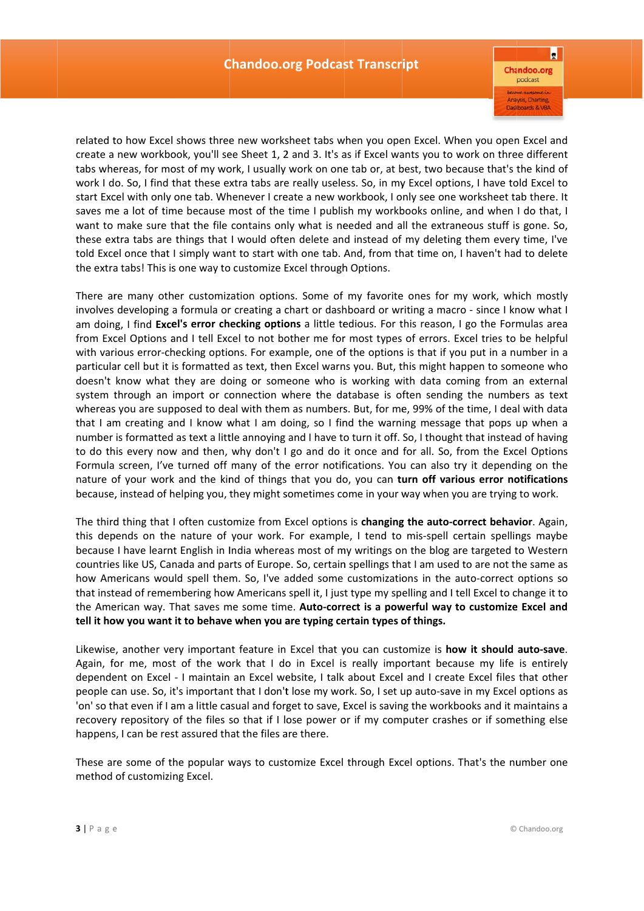$\vert_{\mathbf{R}}$ **Chandoo.org** podcast Anaysis, Charting Dashboards & VB/

related to how Excel shows three new worksheet tabs when you open Excel. When you open Excel and create a new workbook, you'll see Sheet 1, 2 and 3. It's as if Excel wants you to work on three different tabs whereas, for most of my work, I usually work on one tab or, at best, two because that's the kind of work I do. So, I find that these extra tabs are really useless. So, in my Excel options, I have told Excel to start Excel with only one tab. Whenever I create a new workbook, I only see one worksheet tab there. It saves me a lot of time because most of the time I publish my workbooks online, and when I do that, I want to make sure that the file contains only what is needed and all the extraneous stuff is gone. So, these extra tabs are things that I would often delete and instead of my deleting them every time, I've told Excel once that I simply want to start with one tab. And, from that time on, I haven't had to delete the extra tabs! This is one way to customize Excel through Options.

There are many other customization options. Some of my favorite ones for my work, which mostly involves developing a formula or creating a chart or dashboard or writing a macro - since I know what I am doing, I find Excel's error checking options a little tedious. For this reason, I go the Formulas area from Excel Options and I tell Excel to not bother me for most types of errors. Excel tries to be helpful with various error-checking options. For example, one of the options is that if you put in a number in a particular cell but it is formatted as text, then Excel warns you. But, this might happen to someone who doesn't know what they are doing or someone who is working with data coming from an external system through an import or connection where the database is often sending the numbers as text whereas you are supposed to deal with them as numbers. But, for me, 99% of the time, I deal with data that I am creating and I know what I am doing, so I find the warning message that pops up when a number is formatted as text a little annoying and I have to turn it off. So, I thought that instead of having to do this every now and then, why don't I go and do it once and for all. So, from the Excel Options Formula screen, I've turned off many of the error notifications. You can also try it depending on the nature of your work and the kind of things that you do, you can turn off various error notifications because, instead of helping you, they might sometimes come in your way when you are trying to work.

The third thing that I often customize from Excel options is **changing the auto-correct behavior**. Again, this depends on the nature of your work. For example, I tend to mis-spell certain spellings maybe because I have learnt English in India whereas most of my writings on the blog are targeted to Western countries like US, Canada and parts of Europe. So, certain spellings that I am used to are not the same as how Americans would spell them. So, I've added some customizations in the auto-correct options so that instead of remembering how Americans spell it, I just type my spelling and I tell Excel to change it to the American way. That saves me some time. Auto-correct is a powerful way to customize Excel and tell it how you want it to behave when you are typing certain types of things.

Likewise, another very important feature in Excel that you can customize is **how it should auto-save**. Again, for me, most of the work that I do in Excel is really important because my life is entirely dependent on Excel - I maintain an Excel website, I talk about Excel and I create Excel files that other people can use. So, it's important that I don't lose my work. So, I set up auto-save in my Excel options as 'on' so that even if I am a little casual and forget to save, Excel is saving the workbooks and it maintains a recovery repository of the files so that if I lose power or if my computer crashes or if something else happens, I can be rest assured that the files are there.

These are some of the popular ways to customize Excel through Excel options. That's the number one method of customizi ng Excel.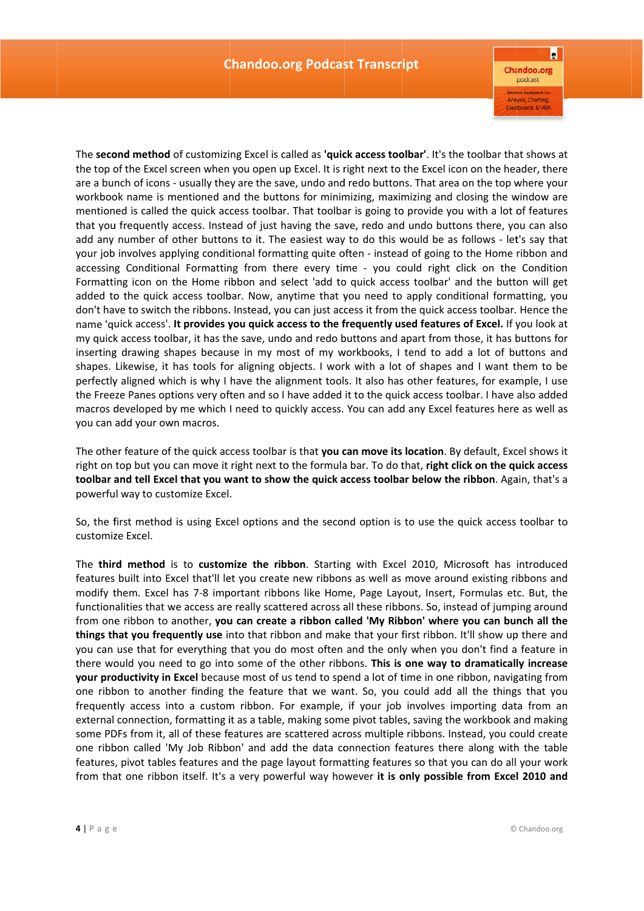$\blacksquare$ **Chandoo.org** podcast Anaysis, Charting Dashboards & VBA

The second method of customizing Excel is called as 'quick access toolbar'. It's the toolbar that shows at the top of the Excel screen when you open up Excel. It is right next to the Excel icon on the header, there are a bunch of icons - usually they are the save, undo and redo buttons. That area on the top where your workbook name is mentioned and the buttons for minimizing, maximizing and closing the window are mentioned is called the quick access toolbar. That toolbar is going to provide you with a lot of features that you frequently access. Instead of just having the save, redo and undo buttons there, you can also add any number of other buttons to it. The easiest way to do this would be as follows - let's say that your job involves applying conditional formatting quite often - instead of going to the Home ribbon and accessing Conditional Formatting from there every time - you could right click on the Condition Formatting icon on the Home ribbon and select 'add to quick access toolbar' and the button will get added to the quick access toolbar. Now, anytime that you need to apply conditional formatting, you don't have to switch the ribbons. Instead, you can just access it from the quick access toolbar. Hence the name 'quick access'. It provides you quick access to the frequently used features of Excel. If you look at my quick access toolbar, it has the save, undo and redo buttons and apart from those, it has buttons for inserting drawing shapes because in my most of my workbooks, I tend to add a lot of buttons and shapes. Likewise, it has tools for aligning objects. I work with a lot of shapes and I want them to be perfectly aligned which is why I have the alignment tools. It also has other features, for example, I use the Freeze Panes options very often and so I have added it to the quick access toolbar. I have also added macros developed by me which I need to quickly access. You can add any Excel features here as well as you can add your own macros.

The other feature of the quick access toolbar is that **you can move its location**. By default, Excel shows it right on top but you can move it right next to the formula bar. To do that, right click on the quick access toolbar and tell Excel that you want to show the quick access toolbar below the ribbon. Again, that's a powerful way to customize Excel.

So, the first method is using Excel options and the second option is to use the quick access toolbar to customiz ze Excel.

The **third method** is to customize the ribbon. Starting with Excel 2010, Microsoft has introduced features built into Excel that'll let you create new ribbons as well as move around existing ribbons and modify them. Excel has 7-8 important ribbons like Home, Page Layout, Insert, Formulas etc. But, the functionalities that we access are really scattered across all these ribbons. So, instead of jumping around from one ribbon to another, you can create a ribbon called 'My Ribbon' where you can bunch all the **things that you frequently use** into that ribbon and make that your first ribbon. It'll show up there and you can use that for everything that you do most often and the only when you don't find a feature in there would you need to go into some of the other ribbons. This is one way to dramatically increase your productivity in Excel because most of us tend to spend a lot of time in one ribbon, navigating from one ribbon to another finding the feature that we want. So, you could add all the things that you frequently access into a custom ribbon. For example, if your job involves importing data from an external connection, formatting it as a table, making some pivot tables, saving the workbook and making some PDFs from it, all of these features are scattered across multiple ribbons. Instead, you could create one ribbon called 'My Job Ribbon' and add the data connection features there along with the table features, pivot tables features and the page layout formatting features so that you can do all your work from that one ribbon itself. It's a very powerful way however it is only possible from Excel 2010 and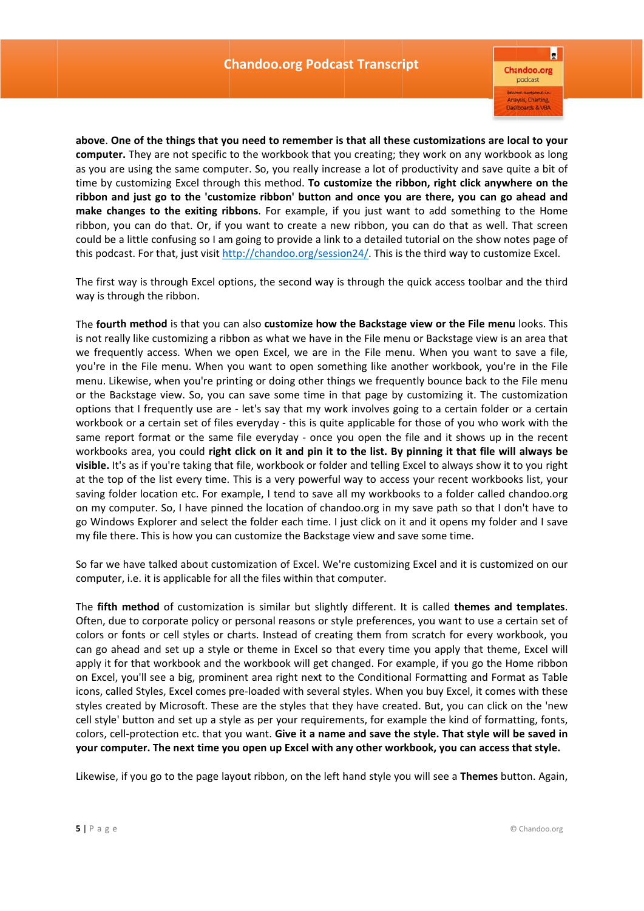$\blacksquare$ **Chandoo.org** podcast Anaysis, Charting Dashboards & VB/

above. One of the things that you need to remember is that all these customizations are local to your computer. They are not specific to the workbook that you creating; they work on any workbook as long as you are using the same computer. So, you really increase a lot of productivity and save quite a bit of time by customizing Excel through this method. To customize the ribbon, right click anywhere on the ribbon and just go to the 'customize ribbon' button and once you are there, you can go ahead and make changes to the exiting ribbons. For example, if you just want to add something to the Home ribbon, you can do that. Or, if you want to create a new ribbon, you can do that as well. That screen could be a little confusing so I am going to provide a link to a detailed tutorial on the show notes page of this podcast. For that, just visit http://chandoo.org/session24/. This is the third way to customize Excel.

The first way is through Excel options, the second way is through the quick access toolbar and the third way is through the ribbon.

The fourth method is that you can also customize how the Backstage view or the File menu looks. This is not really like customizing a ribbon as what we have in the File menu or Backstage view is an area that we frequently access. When we open Excel, we are in the File menu. When you want to save a file, you're in the File menu. When you want to open something like another workbook, you're in the File menu. Likewise, when you're printing or doing other things we frequently bounce back to the File menu or the Backstage view. So, you can save some time in that page by customizing it. The customization options that I frequently use are - let's say that my work involves going to a certain folder or a certain workbook or a certain set of files everyday - this is quite applicable for those of you who work with the same report format or the same file everyday - once you open the file and it shows up in the recent workbooks area, you could right click on it and pin it to the list. By pinning it that file will always be visible. It's as if you're taking that file, workbook or folder and telling Excel to always show it to you right at the top of the list every time. This is a very powerful way to access your recent workbooks list, your saving folder location etc. For example, I tend to save all my workbooks to a folder called chandoo.org on my computer. So, I have pinned the location of chandoo.org in my save path so that I don't have to go Windows Explorer and select the folder each time. I just click on it and it opens my folder and I save my file there. This is how you can customize the Backstage view and save some time.

So far we have talked about customization of Excel. We're customizing Excel and it is customized on our computer, i.e. it is applicable for all the files within that computer.

The fifth method of customization is similar but slightly different. It is called themes and templates. Often, due to corporate policy or personal reasons or style preferences, you want to use a certain set of colors or fonts or cell styles or charts. Instead of creating them from scratch for every workbook, you can go ahead and set up a style or theme in Excel so that every time you apply that theme, Excel will apply it for that workbook and the workbook will get changed. For example, if you go the Home ribbon on Excel, you'll see a big, prominent area right next to the Conditional Formatting and Format as Table icons, called Styles, Excel comes pre-loaded with several styles. When you buy Excel, it comes with these styles created by Microsoft. These are the styles that they have created. But, you can click on the 'new cell style' button and set up a style as per your requirements, for example the kind of formatting, fonts, colors, cell-protection etc. that you want. Give it a name and save the style. That style will be saved in your computer. The next time you open up Excel with any other workbook, you can access that style.

Likewise, if you go to the page layout ribbon, on the left hand style you will see a Themes button. Again,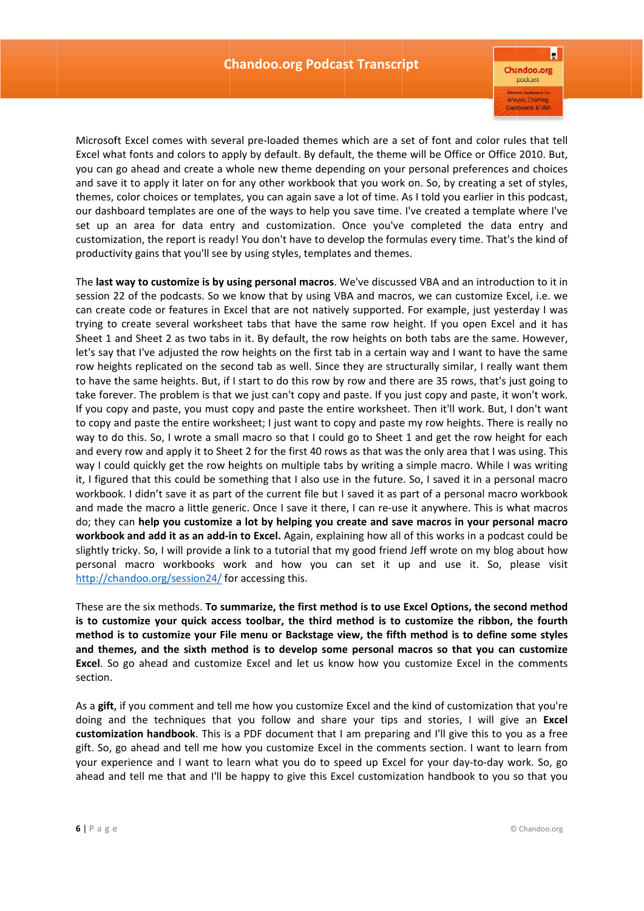$\blacksquare$ **Chandoo.org** podcast Anaysis, Charting Dashboards & VB/

Microsoft Excel comes with several pre-loaded themes which are a set of font and color rules that tell Excel what fonts and colors to apply by default. By default, the theme will be Office or Office 2010. But, you can go ahead and create a whole new theme depending on your personal preferences and choices and save it to apply it later on for any other workbook that you work on. So, by creating a set of styles, themes, color choices or templates, you can again save a lot of time. As I told you earlier in this podcast, our dashboard templates are one of the ways to help you save time. I've created a template where I've set up an area for data entry and customization. Once you've completed the data entry and customization, the report is ready! You don't have to develop the formulas every time. That's the kind of productivity gains that you'll see by using styles, templates and themes.

The last way to customize is by using personal macros. We've discussed VBA and an introduction to it in session 22 of the podcasts. So we know that by using VBA and macros, we can customize Excel, i.e. we can create code or features in Excel that are not natively supported. For example, just yesterday I was trying to create several worksheet tabs that have the same row height. If you open Excel and it has Sheet 1 and Sheet 2 as two tabs in it. By default, the row heights on both tabs are the same. However, let's say that I've adjusted the row heights on the first tab in a certain way and I want to have the same row heights replicated on the second tab as well. Since they are structurally similar, I really want them to have the same heights. But, if I start to do this row by row and there are 35 rows, that's just going to take forever. The problem is that we just can't copy and paste. If you just copy and paste, it won't work. If you copy and paste, you must copy and paste the entire worksheet. Then it'll work. But, I don't want to copy and paste the entire worksheet; I just want to copy and paste my row heights. There is really no way to do this. So, I wrote a small macro so that I could go to Sheet 1 and get the row height for each and every row and apply it to Sheet 2 for the first 40 rows as that was the only area that I was using. This way I could quickly get the row heights on multiple tabs by writing a simple macro. While I was writing it, I figured that this could be something that I also use in the future. So, I saved it in a personal macro workbook. I didn't save it as part of the current file but I saved it as part of a personal macro workbook and made the macro a little generic. Once I save it there, I can re-use it anywhere. This is what macros do; they can help you customize a lot by helping you create and save macros in your personal macro workbook and add it as an add-in to Excel. Again, explaining how all of this works in a podcast could be slightly tricky. So, I will provide a link to a tutorial that my good friend Jeff wrote on my blog about how personal macro workbooks work and how you can set it up and use it. So, please visit http://chandoo.org/session24/ for accessing this.

These are the six methods. **To summarize, the first method is to use Excel Options, the second method** is to customize your quick access toolbar, the third method is to customize the ribbon, the fourth method is to customize your File menu or Backstage view, the fifth method is to define some styles and themes, and the sixth method is to develop some personal macros so that you can customize Excel. So go ahead and customize Excel and let us know how you customize Excel in the comments section.

As a gift, if you comment and tell me how you customize Excel and the kind of customization that you're doing and the techniques that you follow and share your tips and stories, I will give an Excel customization handbook. This is a PDF document that I am preparing and I'll give this to you as a free gift. So, go ahead and tell me how you customize Excel in the comments section. I want to learn from your experience and I want to learn what you do to speed up Excel for your day-to-day work. So, go ahead and tell me that and I'll be happy to give this Excel customization handbook to you so that you